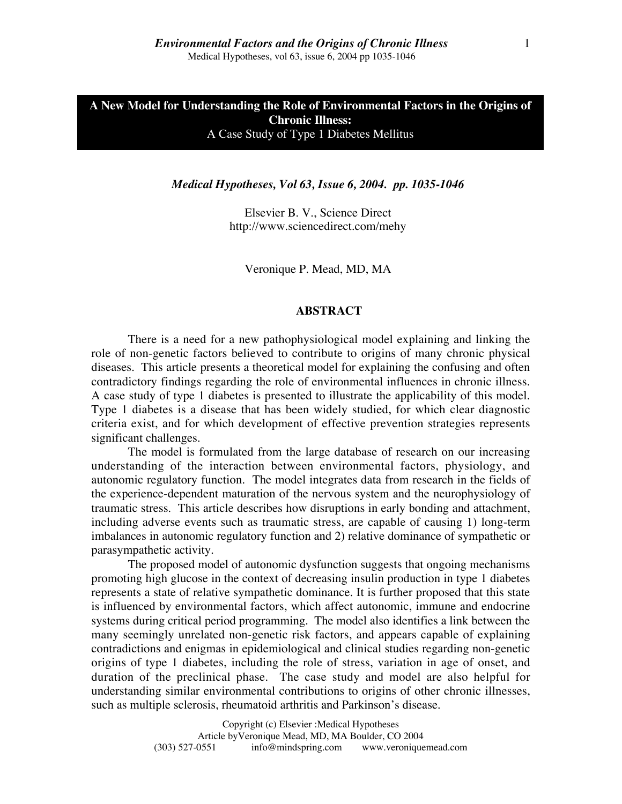Elsevier B. V., Science Direct http://www.sciencedirect.com/mehy

Veronique P. Mead, MD, MA

#### **ABSTRACT**

There is a need for a new pathophysiological model explaining and linking the role of non-genetic factors believed to contribute to origins of many chronic physical diseases. This article presents a theoretical model for explaining the confusing and often contradictory findings regarding the role of environmental influences in chronic illness. A case study of type 1 diabetes is presented to illustrate the applicability of this model. Type 1 diabetes is a disease that has been widely studied, for which clear diagnostic criteria exist, and for which development of effective prevention strategies represents significant challenges.

The model is formulated from the large database of research on our increasing understanding of the interaction between environmental factors, physiology, and autonomic regulatory function. The model integrates data from research in the fields of the experience-dependent maturation of the nervous system and the neurophysiology of traumatic stress. This article describes how disruptions in early bonding and attachment, including adverse events such as traumatic stress, are capable of causing 1) long-term imbalances in autonomic regulatory function and 2) relative dominance of sympathetic or parasympathetic activity.

The proposed model of autonomic dysfunction suggests that ongoing mechanisms promoting high glucose in the context of decreasing insulin production in type 1 diabetes represents a state of relative sympathetic dominance. It is further proposed that this state is influenced by environmental factors, which affect autonomic, immune and endocrine systems during critical period programming. The model also identifies a link between the many seemingly unrelated non-genetic risk factors, and appears capable of explaining contradictions and enigmas in epidemiological and clinical studies regarding non-genetic origins of type 1 diabetes, including the role of stress, variation in age of onset, and duration of the preclinical phase. The case study and model are also helpful for understanding similar environmental contributions to origins of other chronic illnesses, such as multiple sclerosis, rheumatoid arthritis and Parkinson's disease.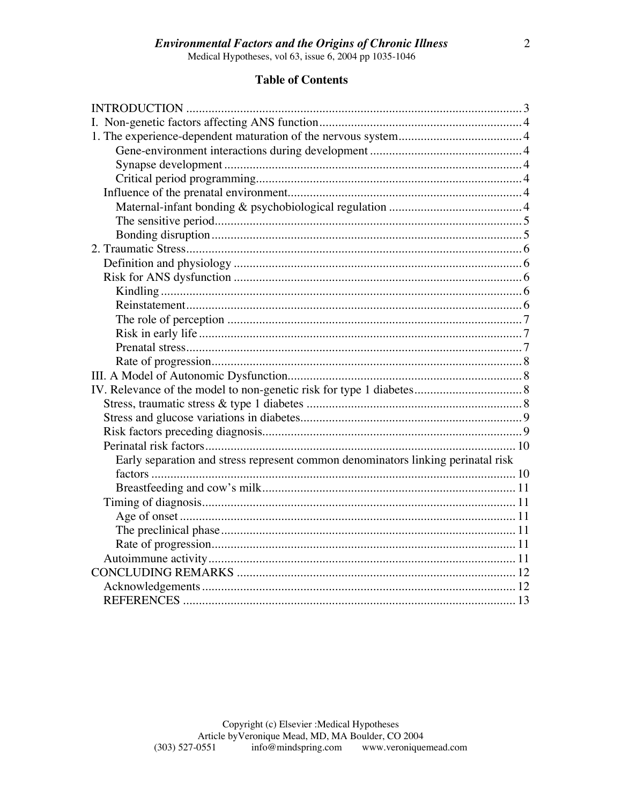## **Environmental Factors and the Origins of Chronic Illness**

Medical Hypotheses, vol 63, issue  $6, 2004$  pp 1035-1046

### **Table of Contents**

| Early separation and stress represent common denominators linking perinatal risk |  |
|----------------------------------------------------------------------------------|--|
|                                                                                  |  |
|                                                                                  |  |
|                                                                                  |  |
|                                                                                  |  |
|                                                                                  |  |
|                                                                                  |  |
|                                                                                  |  |
|                                                                                  |  |
|                                                                                  |  |
|                                                                                  |  |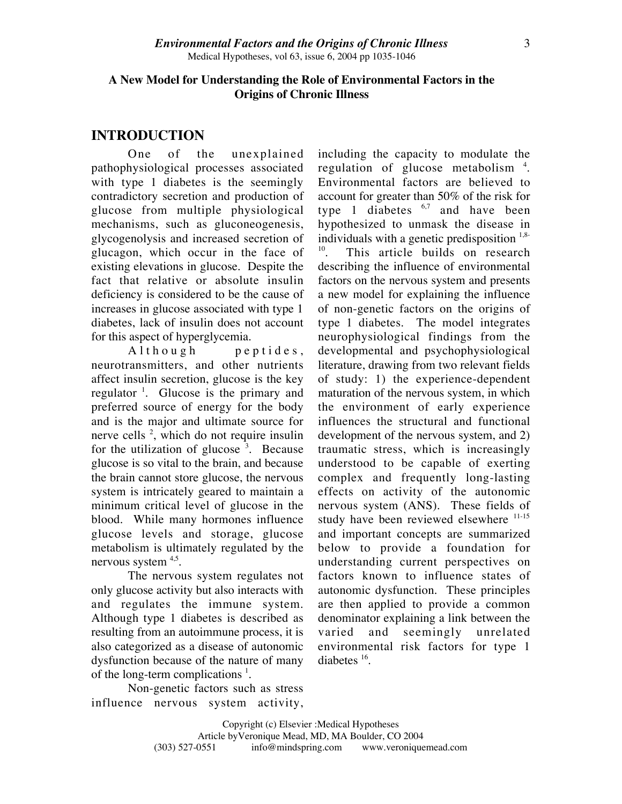## **A New Model for Understanding the Role of Environmental Factors in the Origins of Chronic Illness**

## **INTRODUCTION**

One of the unexplained pathophysiological processes associated with type 1 diabetes is the seemingly contradictory secretion and production of glucose from multiple physiological mechanisms, such as gluconeogenesis, glycogenolysis and increased secretion of glucagon, which occur in the face of existing elevations in glucose. Despite the fact that relative or absolute insulin deficiency is considered to be the cause of increases in glucose associated with type 1 diabetes, lack of insulin does not account for this aspect of hyperglycemia.

Although peptides, neurotransmitters, and other nutrients affect insulin secretion, glucose is the key regulator <sup>1</sup>. Glucose is the primary and preferred source of energy for the body and is the major and ultimate source for nerve cells<sup>2</sup>, which do not require insulin for the utilization of glucose  $3$ . Because glucose is so vital to the brain, and because the brain cannot store glucose, the nervous system is intricately geared to maintain a minimum critical level of glucose in the blood. While many hormones influence glucose levels and storage, glucose metabolism is ultimately regulated by the nervous system  $4.5$ .

The nervous system regulates not only glucose activity but also interacts with and regulates the immune system. Although type 1 diabetes is described as resulting from an autoimmune process, it is also categorized as a disease of autonomic dysfunction because of the nature of many of the long-term complications  $<sup>1</sup>$ .</sup>

Non-genetic factors such as stress influence nervous system activity, including the capacity to modulate the regulation of glucose metabolism<sup>4</sup>. Environmental factors are believed to account for greater than 50% of the risk for type 1 diabetes  $6.7$  and have been hypothesized to unmask the disease in individuals with a genetic predisposition  $1.8-10$ .<br>This article builds on research This article builds on research describing the influence of environmental factors on the nervous system and presents a new model for explaining the influence of non-genetic factors on the origins of type 1 diabetes. The model integrates neurophysiological findings from the developmental and psychophysiological literature, drawing from two relevant fields of study: 1) the experience-dependent maturation of the nervous system, in which the environment of early experience influences the structural and functional development of the nervous system, and 2) traumatic stress, which is increasingly understood to be capable of exerting complex and frequently long-lasting effects on activity of the autonomic nervous system (ANS). These fields of study have been reviewed elsewhere <sup>11-15</sup> and important concepts are summarized below to provide a foundation for understanding current perspectives on factors known to influence states of autonomic dysfunction. These principles are then applied to provide a common denominator explaining a link between the varied and seemingly unrelated environmental risk factors for type 1 diabetes  $16$ .

Copyright (c) Elsevier :Medical Hypotheses Article by Veronique Mead, MD, MA Boulder, CO 2004<br>(303) 527-0551 info@mindspring.com www.veronique info@mindspring.com www.veroniquemead.com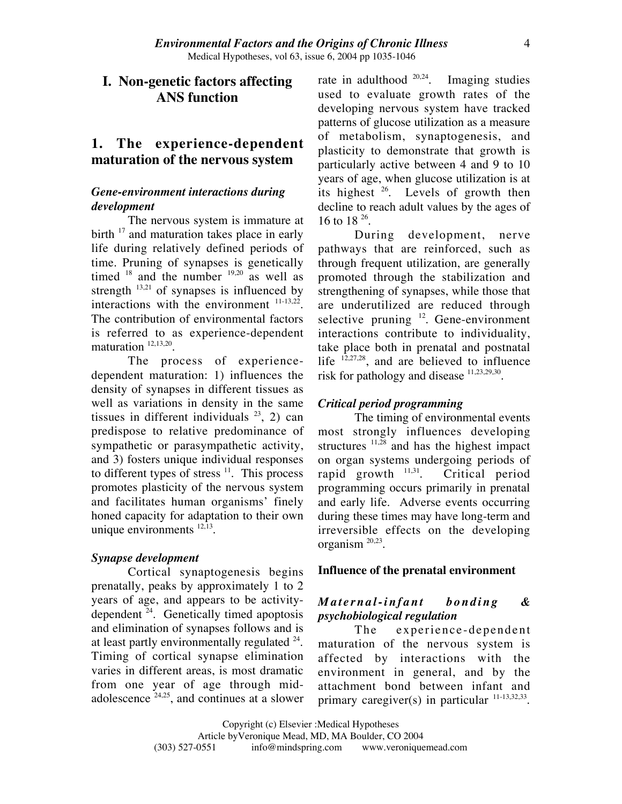## **I. Non-genetic factors affecting ANS function**

## **1. The experience-dependent maturation of the nervous system**

## *Gene-environment interactions during development*

The nervous system is immature at birth  $17$  and maturation takes place in early life during relatively defined periods of time. Pruning of synapses is genetically timed  $18$  and the number  $19,20$  as well as strength  $^{13,21}$  of synapses is influenced by interactions with the environment  $11-13,22$ . The contribution of environmental factors is referred to as experience-dependent maturation<sup>12,13,20</sup>.

The process of experiencedependent maturation: 1) influences the density of synapses in different tissues as well as variations in density in the same tissues in different individuals  $^{23}$ , 2) can predispose to relative predominance of sympathetic or parasympathetic activity, and 3) fosters unique individual responses to different types of stress  $\frac{11}{1}$ . This process promotes plasticity of the nervous system and facilitates human organisms' finely honed capacity for adaptation to their own unique environments  $^{12,13}$ .

#### *Synapse development*

Cortical synaptogenesis begins prenatally, peaks by approximately 1 to 2 years of age, and appears to be activitydependent  $24$ . Genetically timed apoptosis and elimination of synapses follows and is at least partly environmentally regulated  $24$ . Timing of cortical synapse elimination varies in different areas, is most dramatic from one year of age through midadolescence  $24.25$ , and continues at a slower

rate in adulthood  $20,24$ . Imaging studies used to evaluate growth rates of the developing nervous system have tracked patterns of glucose utilization as a measure of metabolism, synaptogenesis, and plasticity to demonstrate that growth is particularly active between 4 and 9 to 10 years of age, when glucose utilization is at its highest  $26$ . Levels of growth then decline to reach adult values by the ages of 16 to 18 26.

During development, nerve pathways that are reinforced, such as through frequent utilization, are generally promoted through the stabilization and strengthening of synapses, while those that are underutilized are reduced through selective pruning  $12$ . Gene-environment interactions contribute to individuality, take place both in prenatal and postnatal life  $12,27,28$ , and are believed to influence risk for pathology and disease  $11,23,29,30$ .

#### *Critical period programming*

The timing of environmental events most strongly influences developing structures  $11,28$  and has the highest impact on organ systems undergoing periods of rapid growth  $^{11,31}$ . Critical period programming occurs primarily in prenatal and early life. Adverse events occurring during these times may have long-term and irreversible effects on the developing organism 20,23.

#### **Influence of the prenatal environment**

## *Maternal-infant bonding & psychobiological regulation*

The experience-dependent maturation of the nervous system is affected by interactions with the environment in general, and by the attachment bond between infant and primary caregiver(s) in particular  $11-13,32,33$ .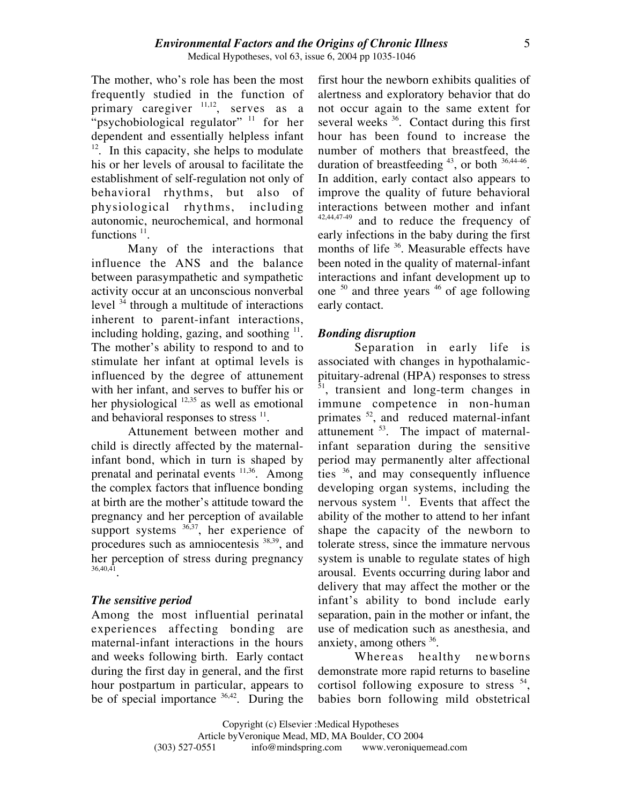The mother, who's role has been the most frequently studied in the function of primary caregiver  $11,12$ , serves as a "psychobiological regulator"  $11$  for her dependent and essentially helpless infant  $12$ . In this capacity, she helps to modulate his or her levels of arousal to facilitate the establishment of self-regulation not only of behavioral rhythms, but also of physiological rhythms, including autonomic, neurochemical, and hormonal functions<sup>11</sup>.

Many of the interactions that influence the ANS and the balance between parasympathetic and sympathetic activity occur at an unconscious nonverbal level <sup>34</sup> through a multitude of interactions inherent to parent-infant interactions, including holding, gazing, and soothing  $\frac{11}{1}$ . The mother's ability to respond to and to stimulate her infant at optimal levels is influenced by the degree of attunement with her infant, and serves to buffer his or her physiological  $12,35$  as well as emotional and behavioral responses to stress  $^{11}$ .

Attunement between mother and child is directly affected by the maternalinfant bond, which in turn is shaped by prenatal and perinatal events <sup>11,36</sup>. Among the complex factors that influence bonding at birth are the mother's attitude toward the pregnancy and her perception of available support systems  $36,37$ , her experience of procedures such as amniocentesis 38,39, and her perception of stress during pregnancy 36,40,41.

#### *The sensitive period*

Among the most influential perinatal experiences affecting bonding are maternal-infant interactions in the hours and weeks following birth. Early contact during the first day in general, and the first hour postpartum in particular, appears to be of special importance  $36,42$ . During the

first hour the newborn exhibits qualities of alertness and exploratory behavior that do not occur again to the same extent for several weeks  $36$ . Contact during this first hour has been found to increase the number of mothers that breastfeed, the duration of breastfeeding  $43$ , or both  $36,44.46$ . In addition, early contact also appears to improve the quality of future behavioral interactions between mother and infant 42,44,47-49 and to reduce the frequency of early infections in the baby during the first months of life <sup>36</sup>. Measurable effects have been noted in the quality of maternal-infant interactions and infant development up to one <sup>50</sup> and three years <sup>46</sup> of age following early contact.

#### *Bonding disruption*

Separation in early life is associated with changes in hypothalamicpituitary-adrenal (HPA) responses to stress <sup>51</sup>, transient and long-term changes in immune competence in non-human primates <sup>52</sup>, and reduced maternal-infant attunement <sup>53</sup>. The impact of maternalinfant separation during the sensitive period may permanently alter affectional ties <sup>36</sup>, and may consequently influence developing organ systems, including the nervous system  $11$ . Events that affect the ability of the mother to attend to her infant shape the capacity of the newborn to tolerate stress, since the immature nervous system is unable to regulate states of high arousal. Events occurring during labor and delivery that may affect the mother or the infant's ability to bond include early separation, pain in the mother or infant, the use of medication such as anesthesia, and anxiety, among others  $36$ .

Whereas healthy newborns demonstrate more rapid returns to baseline cortisol following exposure to stress  $54$ , babies born following mild obstetrical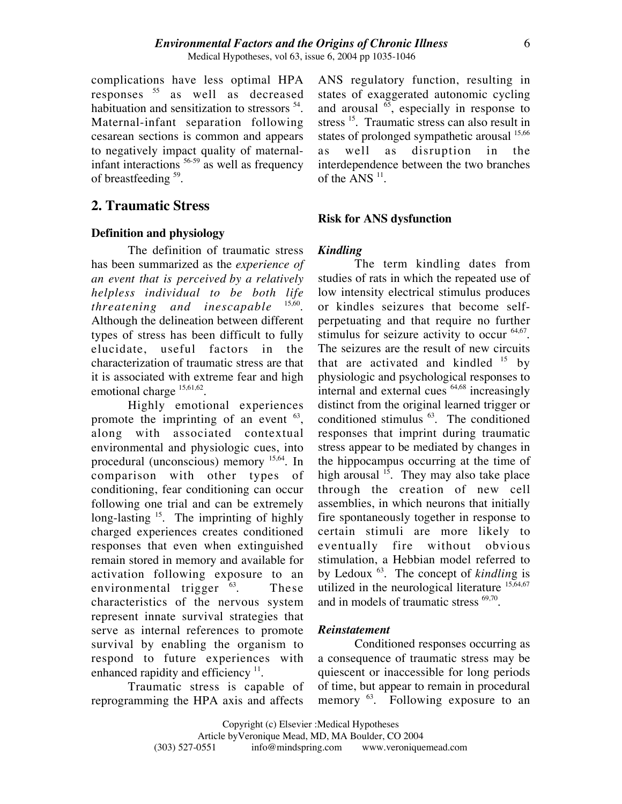complications have less optimal HPA responses <sup>55</sup> as well as decreased habituation and sensitization to stressors 54. Maternal-infant separation following cesarean sections is common and appears to negatively impact quality of maternalinfant interactions  $56-59$  as well as frequency of breastfeeding <sup>59</sup>.

## **2. Traumatic Stress**

#### **Definition and physiology**

The definition of traumatic stress has been summarized as the *experience of an event that is perceived by a relatively helpless individual to be both life threatening and inescapable* Although the delineation between different types of stress has been difficult to fully elucidate, useful factors in the characterization of traumatic stress are that it is associated with extreme fear and high emotional charge  $15,61,62$ .

Highly emotional experiences promote the imprinting of an event  $63$ , along with associated contextual environmental and physiologic cues, into procedural (unconscious) memory 15,64. In comparison with other types of conditioning, fear conditioning can occur following one trial and can be extremely long-lasting <sup>15</sup>. The imprinting of highly charged experiences creates conditioned responses that even when extinguished remain stored in memory and available for activation following exposure to an environmental trigger  $^{63}$ . These characteristics of the nervous system represent innate survival strategies that serve as internal references to promote survival by enabling the organism to respond to future experiences with enhanced rapidity and efficiency  $11$ .

Traumatic stress is capable of reprogramming the HPA axis and affects ANS regulatory function, resulting in states of exaggerated autonomic cycling and arousal  $\overset{65}{\circ}$ , especially in response to stress <sup>15</sup>. Traumatic stress can also result in states of prolonged sympathetic arousal <sup>15,66</sup> as well as disruption in the interdependence between the two branches of the ANS  $^{11}$ .

#### **Risk for ANS dysfunction**

#### *Kindling*

The term kindling dates from studies of rats in which the repeated use of low intensity electrical stimulus produces or kindles seizures that become selfperpetuating and that require no further stimulus for seizure activity to occur <sup>64,67</sup>. The seizures are the result of new circuits that are activated and kindled  $15$  by physiologic and psychological responses to internal and external cues 64,68 increasingly distinct from the original learned trigger or conditioned stimulus <sup>63</sup>. The conditioned responses that imprint during traumatic stress appear to be mediated by changes in the hippocampus occurring at the time of high arousal  $15$ . They may also take place through the creation of new cell assemblies, in which neurons that initially fire spontaneously together in response to certain stimuli are more likely to eventually fire without obvious stimulation, a Hebbian model referred to by Ledoux 63. The concept of *kindlin*g is utilized in the neurological literature  $15,64,67$ and in models of traumatic stress  $69,70$ .

#### *Reinstatement*

Conditioned responses occurring as a consequence of traumatic stress may be quiescent or inaccessible for long periods of time, but appear to remain in procedural memory <sup>63</sup>. Following exposure to an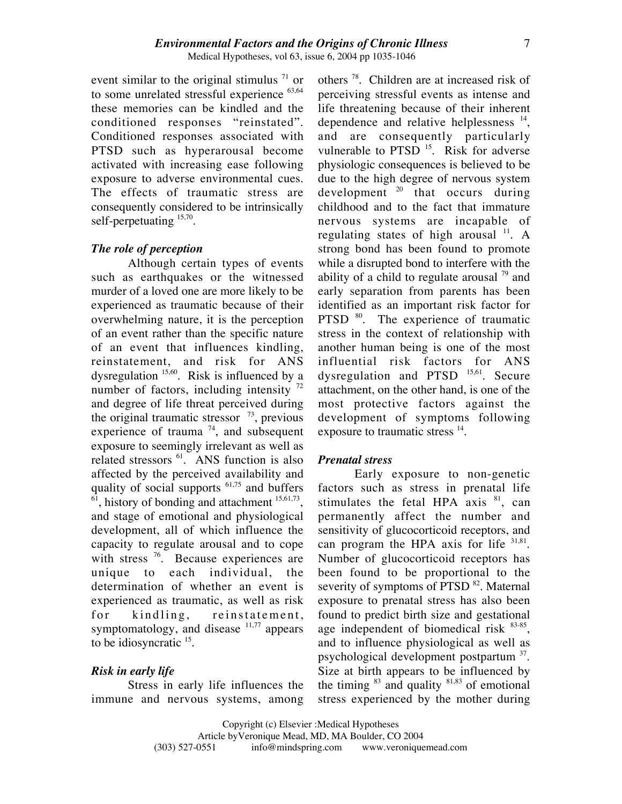event similar to the original stimulus  $^{71}$  or to some unrelated stressful experience  $63,64$ these memories can be kindled and the conditioned responses "reinstated". Conditioned responses associated with PTSD such as hyperarousal become activated with increasing ease following exposure to adverse environmental cues. The effects of traumatic stress are consequently considered to be intrinsically self-perpetuating  $15,70$ .

#### *The role of perception*

Although certain types of events such as earthquakes or the witnessed murder of a loved one are more likely to be experienced as traumatic because of their overwhelming nature, it is the perception of an event rather than the specific nature of an event that influences kindling, reinstatement, and risk for ANS dysregulation <sup>15,60</sup>. Risk is influenced by a number of factors, including intensity  $^{72}$ and degree of life threat perceived during the original traumatic stressor  $\frac{73}{2}$ , previous experience of trauma  $74$ , and subsequent exposure to seemingly irrelevant as well as related stressors  $^{61}$ . ANS function is also affected by the perceived availability and quality of social supports  $61,75$  and buffers  $<sup>61</sup>$ , history of bonding and attachment  $<sup>15,61,73</sup>$ ,</sup></sup> and stage of emotional and physiological development, all of which influence the capacity to regulate arousal and to cope with stress  $\frac{76}{6}$ . Because experiences are unique to each individual, the determination of whether an event is experienced as traumatic, as well as risk for kindling, reinstatement, symptomatology, and disease  $11,77$  appears to be idiosyncratic <sup>15</sup>.

#### *Risk in early life*

Stress in early life influences the immune and nervous systems, among

others 78. Children are at increased risk of perceiving stressful events as intense and life threatening because of their inherent dependence and relative helplessness  $^{14}$ , and are consequently particularly vulnerable to PTSD<sup>15</sup>. Risk for adverse physiologic consequences is believed to be due to the high degree of nervous system development  $20$  that occurs during childhood and to the fact that immature nervous systems are incapable of regulating states of high arousal  $^{11}$ . A strong bond has been found to promote while a disrupted bond to interfere with the ability of a child to regulate arousal  $\frac{79}{2}$  and early separation from parents has been identified as an important risk factor for PTSD <sup>80</sup>. The experience of traumatic stress in the context of relationship with another human being is one of the most influential risk factors for ANS dysregulation and PTSD <sup>15,61</sup>. Secure attachment, on the other hand, is one of the most protective factors against the development of symptoms following exposure to traumatic stress <sup>14</sup>.

#### *Prenatal stress*

Early exposure to non-genetic factors such as stress in prenatal life stimulates the fetal HPA  $axis$ <sup>81</sup>, can permanently affect the number and sensitivity of glucocorticoid receptors, and can program the HPA axis for life  $31,81$ . Number of glucocorticoid receptors has been found to be proportional to the severity of symptoms of PTSD<sup>82</sup>. Maternal exposure to prenatal stress has also been found to predict birth size and gestational age independent of biomedical risk <sup>83-85</sup>, and to influence physiological as well as psychological development postpartum 37. Size at birth appears to be influenced by the timing  $83$  and quality  $81,83$  of emotional stress experienced by the mother during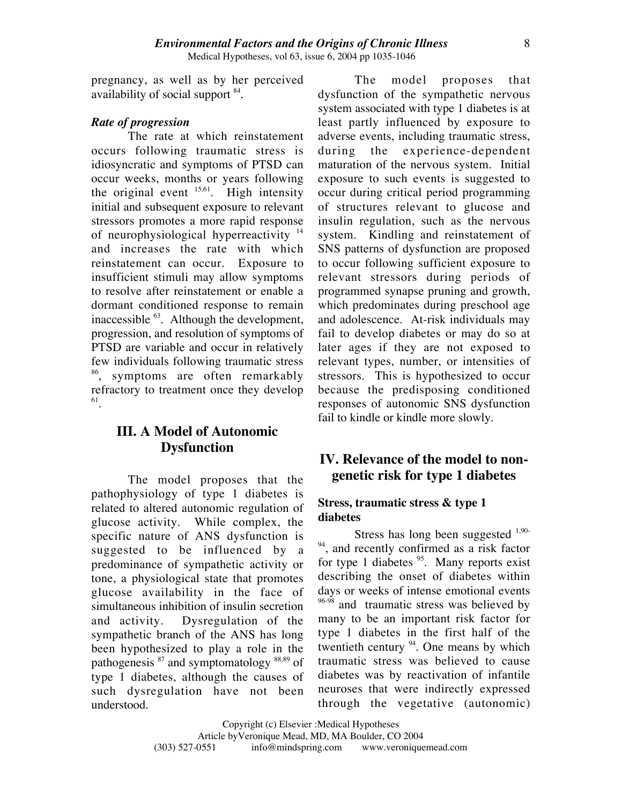pregnancy, as well as by her perceived availability of social support 84.

#### *Rate of progression*

The rate at which reinstatement occurs following traumatic stress is idiosyncratic and symptoms of PTSD can occur weeks, months or years following the original event  $^{15,61}$ . High intensity initial and subsequent exposure to relevant stressors promotes a more rapid response of neurophysiological hyperreactivity <sup>14</sup> and increases the rate with which reinstatement can occur. Exposure to insufficient stimuli may allow symptoms to resolve after reinstatement or enable a dormant conditioned response to remain inaccessible 63. Although the development, progression, and resolution of symptoms of PTSD are variable and occur in relatively few individuals following traumatic stress <sup>86</sup>, symptoms are often remarkably refractory to treatment once they develop 61.

## **III. A Model of Autonomic Dysfunction**

The model proposes that the pathophysiology of type 1 diabetes is related to altered autonomic regulation of glucose activity. While complex, the specific nature of ANS dysfunction is suggested to be influenced by a predominance of sympathetic activity or tone, a physiological state that promotes glucose availability in the face of simultaneous inhibition of insulin secretion and activity. Dysregulation of the sympathetic branch of the ANS has long been hypothesized to play a role in the pathogenesis <sup>87</sup> and symptomatology 88,89 of type 1 diabetes, although the causes of such dysregulation have not been understood.

The model proposes that dysfunction of the sympathetic nervous system associated with type 1 diabetes is at least partly influenced by exposure to adverse events, including traumatic stress, during the experience-dependent maturation of the nervous system. Initial exposure to such events is suggested to occur during critical period programming of structures relevant to glucose and insulin regulation, such as the nervous system. Kindling and reinstatement of SNS patterns of dysfunction are proposed to occur following sufficient exposure to relevant stressors during periods of programmed synapse pruning and growth, which predominates during preschool age and adolescence. At-risk individuals may fail to develop diabetes or may do so at later ages if they are not exposed to relevant types, number, or intensities of stressors. This is hypothesized to occur because the predisposing conditioned responses of autonomic SNS dysfunction fail to kindle or kindle more slowly.

## **IV. Relevance of the model to nongenetic risk for type 1 diabetes**

#### **Stress, traumatic stress & type 1 diabetes**

Stress has long been suggested  $1,90 94$ , and recently confirmed as a risk factor for type 1 diabetes <sup>95</sup>. Many reports exist describing the onset of diabetes within days or weeks of intense emotional events <sup>96-98</sup> and traumatic stress was believed by many to be an important risk factor for type 1 diabetes in the first half of the twentieth century <sup>94</sup>. One means by which traumatic stress was believed to cause diabetes was by reactivation of infantile neuroses that were indirectly expressed through the vegetative (autonomic)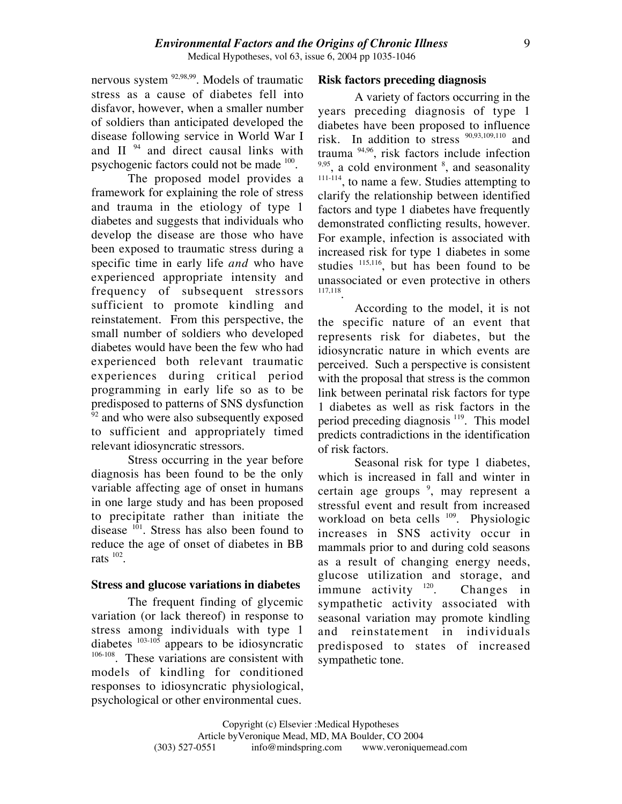nervous system  $92,98,99$ . Models of traumatic stress as a cause of diabetes fell into disfavor, however, when a smaller number of soldiers than anticipated developed the disease following service in World War I and II<sup>94</sup> and direct causal links with psychogenic factors could not be made 100.

The proposed model provides a framework for explaining the role of stress and trauma in the etiology of type 1 diabetes and suggests that individuals who develop the disease are those who have been exposed to traumatic stress during a specific time in early life *and* who have experienced appropriate intensity and frequency of subsequent stressors sufficient to promote kindling and reinstatement. From this perspective, the small number of soldiers who developed diabetes would have been the few who had experienced both relevant traumatic experiences during critical period programming in early life so as to be predisposed to patterns of SNS dysfunction  $92$  and who were also subsequently exposed to sufficient and appropriately timed relevant idiosyncratic stressors.

Stress occurring in the year before diagnosis has been found to be the only variable affecting age of onset in humans in one large study and has been proposed to precipitate rather than initiate the disease  $101$ . Stress has also been found to reduce the age of onset of diabetes in BB rats  $102$ .

#### **Stress and glucose variations in diabetes**

The frequent finding of glycemic variation (or lack thereof) in response to stress among individuals with type 1 diabetes  $103-105$  appears to be idiosyncratic <sup>106-108</sup>. These variations are consistent with models of kindling for conditioned responses to idiosyncratic physiological, psychological or other environmental cues.

#### **Risk factors preceding diagnosis**

A variety of factors occurring in the years preceding diagnosis of type 1 diabetes have been proposed to influence risk. In addition to stress 90,93,109,110 and trauma 94,96, risk factors include infection  $9,95$ , a cold environment  $8$ , and seasonality 111-114, to name a few. Studies attempting to clarify the relationship between identified factors and type 1 diabetes have frequently demonstrated conflicting results, however. For example, infection is associated with increased risk for type 1 diabetes in some studies  $115,116$ , but has been found to be unassociated or even protective in others 117,118.

According to the model, it is not the specific nature of an event that represents risk for diabetes, but the idiosyncratic nature in which events are perceived. Such a perspective is consistent with the proposal that stress is the common link between perinatal risk factors for type 1 diabetes as well as risk factors in the period preceding diagnosis 119. This model predicts contradictions in the identification of risk factors.

Seasonal risk for type 1 diabetes, which is increased in fall and winter in certain age groups <sup>9</sup>, may represent a stressful event and result from increased workload on beta cells <sup>109</sup>. Physiologic increases in SNS activity occur in mammals prior to and during cold seasons as a result of changing energy needs, glucose utilization and storage, and immune activity <sup>120</sup>. Changes in sympathetic activity associated with seasonal variation may promote kindling and reinstatement in individuals predisposed to states of increased sympathetic tone.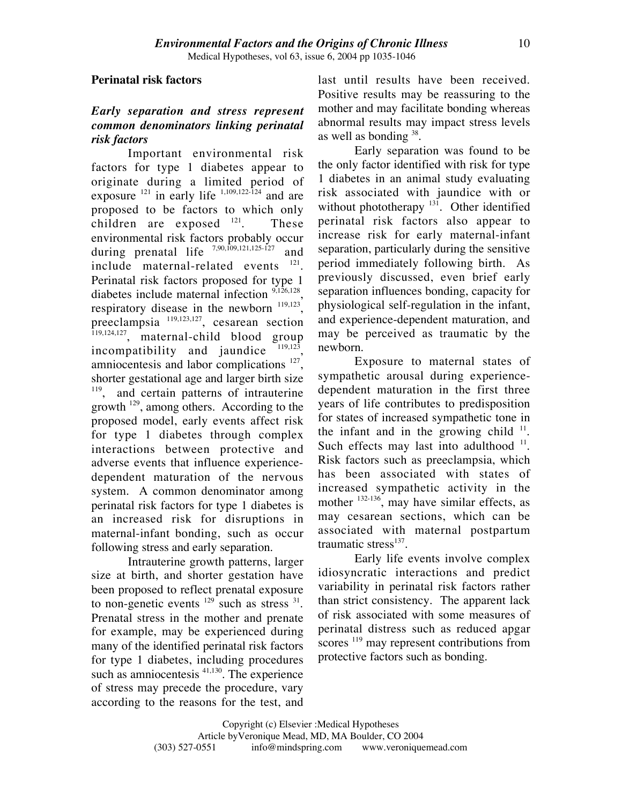#### **Perinatal risk factors**

## *Early separation and stress represent common denominators linking perinatal risk factors*

Important environmental risk factors for type 1 diabetes appear to originate during a limited period of exposure  $^{121}$  in early life  $^{1,109,122-124}$  and are proposed to be factors to which only children are exposed  $121$ . These environmental risk factors probably occur during prenatal life 7,90,109,121,125-127 and include maternal-related events <sup>121</sup>. Perinatal risk factors proposed for type 1 diabetes include maternal infection <sup>9,126,128</sup>, respiratory disease in the newborn  $119,123$ , preeclampsia 119,123,127, cesarean section  $\frac{119,124,127}{119,124,127}$ , maternal-child blood group incompatibility and jaundice amniocentesis and labor complications <sup>127</sup>, shorter gestational age and larger birth size <sup>119</sup>, and certain patterns of intrauterine growth <sup>129</sup>, among others. According to the proposed model, early events affect risk for type 1 diabetes through complex interactions between protective and adverse events that influence experiencedependent maturation of the nervous system. A common denominator among perinatal risk factors for type 1 diabetes is an increased risk for disruptions in maternal-infant bonding, such as occur following stress and early separation.

Intrauterine growth patterns, larger size at birth, and shorter gestation have been proposed to reflect prenatal exposure to non-genetic events  $129$  such as stress  $31$ . Prenatal stress in the mother and prenate for example, may be experienced during many of the identified perinatal risk factors for type 1 diabetes, including procedures such as amniocentesis <sup>41,130</sup>. The experience of stress may precede the procedure, vary according to the reasons for the test, and last until results have been received. Positive results may be reassuring to the mother and may facilitate bonding whereas abnormal results may impact stress levels as well as bonding  $38$ .

Early separation was found to be the only factor identified with risk for type 1 diabetes in an animal study evaluating risk associated with jaundice with or without phototherapy  $131$ . Other identified perinatal risk factors also appear to increase risk for early maternal-infant separation, particularly during the sensitive period immediately following birth. As previously discussed, even brief early separation influences bonding, capacity for physiological self-regulation in the infant, and experience-dependent maturation, and may be perceived as traumatic by the newborn.

Exposure to maternal states of sympathetic arousal during experiencedependent maturation in the first three years of life contributes to predisposition for states of increased sympathetic tone in the infant and in the growing child  $11$ . Such effects may last into adulthood  $11$ . Risk factors such as preeclampsia, which has been associated with states of increased sympathetic activity in the mother <sup>132-136</sup>, may have similar effects, as may cesarean sections, which can be associated with maternal postpartum traumatic stress $^{137}$ .

Early life events involve complex idiosyncratic interactions and predict variability in perinatal risk factors rather than strict consistency. The apparent lack of risk associated with some measures of perinatal distress such as reduced apgar scores <sup>119</sup> may represent contributions from protective factors such as bonding.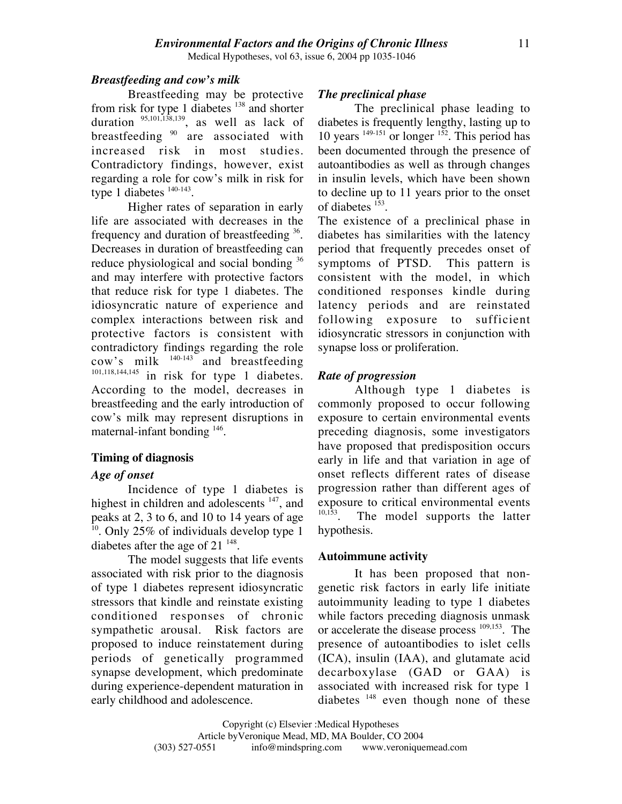#### *Breastfeeding and cow's milk*

Breastfeeding may be protective from risk for type 1 diabetes <sup>138</sup> and shorter duration  $95,101,138,139$ , as well as lack of breastfeeding  $90$  are associated with increased risk in most studies. Contradictory findings, however, exist regarding a role for cow's milk in risk for type 1 diabetes  $140-143$ .

Higher rates of separation in early life are associated with decreases in the frequency and duration of breastfeeding <sup>36</sup>. Decreases in duration of breastfeeding can reduce physiological and social bonding  $36$ and may interfere with protective factors that reduce risk for type 1 diabetes. The idiosyncratic nature of experience and complex interactions between risk and protective factors is consistent with contradictory findings regarding the role cow's milk  $140-143$  and breastfeeding 101,118,144,145 in risk for type 1 diabetes. According to the model, decreases in breastfeeding and the early introduction of cow's milk may represent disruptions in maternal-infant bonding  $146$ .

#### **Timing of diagnosis**

#### *Age of onset*

Incidence of type 1 diabetes is highest in children and adolescents <sup>147</sup>, and peaks at 2, 3 to 6, and 10 to 14 years of age  $10$ . Only 25% of individuals develop type 1 diabetes after the age of  $21^{148}$ .

The model suggests that life events associated with risk prior to the diagnosis of type 1 diabetes represent idiosyncratic stressors that kindle and reinstate existing conditioned responses of chronic sympathetic arousal. Risk factors are proposed to induce reinstatement during periods of genetically programmed synapse development, which predominate during experience-dependent maturation in early childhood and adolescence.

#### *The preclinical phase*

The preclinical phase leading to diabetes is frequently lengthy, lasting up to 10 years  $149-151$  or longer  $152$ . This period has been documented through the presence of autoantibodies as well as through changes in insulin levels, which have been shown to decline up to 11 years prior to the onset of diabetes <sup>153</sup>.

The existence of a preclinical phase in diabetes has similarities with the latency period that frequently precedes onset of symptoms of PTSD. This pattern is consistent with the model, in which conditioned responses kindle during latency periods and are reinstated following exposure to sufficient idiosyncratic stressors in conjunction with synapse loss or proliferation.

#### *Rate of progression*

Although type 1 diabetes is commonly proposed to occur following exposure to certain environmental events preceding diagnosis, some investigators have proposed that predisposition occurs early in life and that variation in age of onset reflects different rates of disease progression rather than different ages of exposure to critical environmental events  $10,153$  The model supports the latter The model supports the latter hypothesis.

#### **Autoimmune activity**

It has been proposed that nongenetic risk factors in early life initiate autoimmunity leading to type 1 diabetes while factors preceding diagnosis unmask or accelerate the disease process 109,153. The presence of autoantibodies to islet cells (ICA), insulin (IAA), and glutamate acid decarboxylase (GAD or GAA) is associated with increased risk for type 1 diabetes  $148$  even though none of these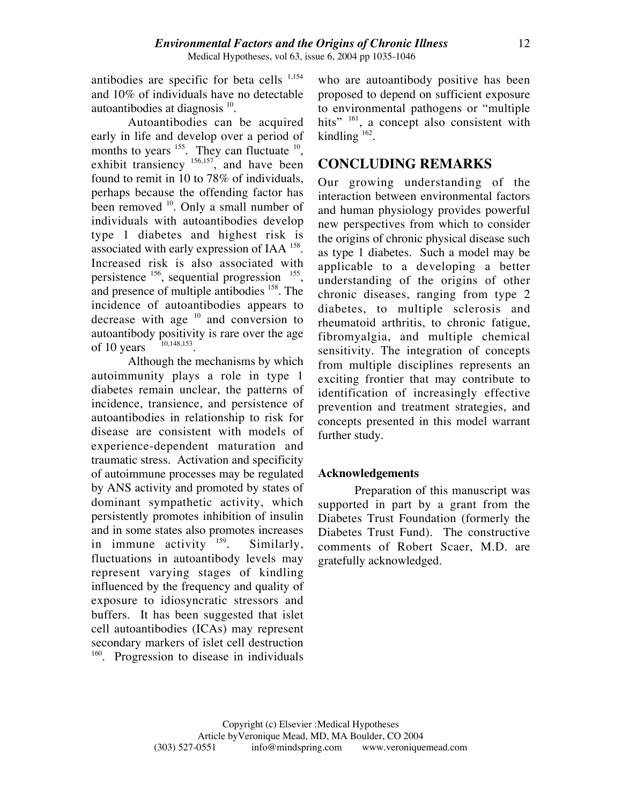antibodies are specific for beta cells  $1,154$ and 10% of individuals have no detectable autoantibodies at diagnosis 10.

Autoantibodies can be acquired early in life and develop over a period of months to years  $^{155}$ . They can fluctuate  $^{10}$ , exhibit transiency <sup>156,157</sup>, and have been found to remit in 10 to 78% of individuals, perhaps because the offending factor has been removed <sup>10</sup>. Only a small number of individuals with autoantibodies develop type 1 diabetes and highest risk is associated with early expression of IAA 158. Increased risk is also associated with persistence  $156$ , sequential progression  $155$ , and presence of multiple antibodies 158. The incidence of autoantibodies appears to decrease with age  $10$  and conversion to autoantibody positivity is rare over the age<br>of 10 years  $10,148,153$ of 10 years

Although the mechanisms by which autoimmunity plays a role in type 1 diabetes remain unclear, the patterns of incidence, transience, and persistence of autoantibodies in relationship to risk for disease are consistent with models of experience-dependent maturation and traumatic stress. Activation and specificity of autoimmune processes may be regulated by ANS activity and promoted by states of dominant sympathetic activity, which persistently promotes inhibition of insulin and in some states also promotes increases in immune activity  $159$ . Similarly, fluctuations in autoantibody levels may represent varying stages of kindling influenced by the frequency and quality of exposure to idiosyncratic stressors and buffers. It has been suggested that islet cell autoantibodies (ICAs) may represent secondary markers of islet cell destruction <sup>160</sup>. Progression to disease in individuals

who are autoantibody positive has been proposed to depend on sufficient exposure to environmental pathogens or "multiple hits" <sup>161</sup>, a concept also consistent with kindling  $162$ .

## **CONCLUDING REMARKS**

Our growing understanding of the interaction between environmental factors and human physiology provides powerful new perspectives from which to consider the origins of chronic physical disease such as type 1 diabetes. Such a model may be applicable to a developing a better understanding of the origins of other chronic diseases, ranging from type 2 diabetes, to multiple sclerosis and rheumatoid arthritis, to chronic fatigue, fibromyalgia, and multiple chemical sensitivity. The integration of concepts from multiple disciplines represents an exciting frontier that may contribute to identification of increasingly effective prevention and treatment strategies, and concepts presented in this model warrant further study.

### **Acknowledgements**

Preparation of this manuscript was supported in part by a grant from the Diabetes Trust Foundation (formerly the Diabetes Trust Fund). The constructive comments of Robert Scaer, M.D. are gratefully acknowledged.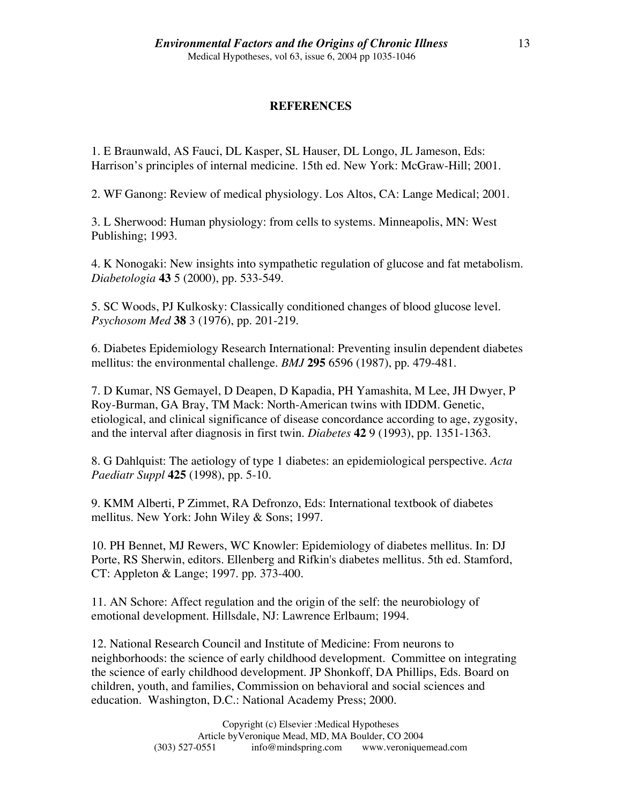### **REFERENCES**

1. E Braunwald, AS Fauci, DL Kasper, SL Hauser, DL Longo, JL Jameson, Eds: Harrison's principles of internal medicine. 15th ed. New York: McGraw-Hill; 2001.

2. WF Ganong: Review of medical physiology. Los Altos, CA: Lange Medical; 2001.

3. L Sherwood: Human physiology: from cells to systems. Minneapolis, MN: West Publishing; 1993.

4. K Nonogaki: New insights into sympathetic regulation of glucose and fat metabolism. *Diabetologia* **43** 5 (2000), pp. 533-549.

5. SC Woods, PJ Kulkosky: Classically conditioned changes of blood glucose level. *Psychosom Med* **38** 3 (1976), pp. 201-219.

6. Diabetes Epidemiology Research International: Preventing insulin dependent diabetes mellitus: the environmental challenge. *BMJ* **295** 6596 (1987), pp. 479-481.

7. D Kumar, NS Gemayel, D Deapen, D Kapadia, PH Yamashita, M Lee, JH Dwyer, P Roy-Burman, GA Bray, TM Mack: North-American twins with IDDM. Genetic, etiological, and clinical significance of disease concordance according to age, zygosity, and the interval after diagnosis in first twin. *Diabetes* **42** 9 (1993), pp. 1351-1363.

8. G Dahlquist: The aetiology of type 1 diabetes: an epidemiological perspective. *Acta Paediatr Suppl* **425** (1998), pp. 5-10.

9. KMM Alberti, P Zimmet, RA Defronzo, Eds: International textbook of diabetes mellitus. New York: John Wiley & Sons; 1997.

10. PH Bennet, MJ Rewers, WC Knowler: Epidemiology of diabetes mellitus. In: DJ Porte, RS Sherwin, editors. Ellenberg and Rifkin's diabetes mellitus. 5th ed. Stamford, CT: Appleton & Lange; 1997. pp. 373-400.

11. AN Schore: Affect regulation and the origin of the self: the neurobiology of emotional development. Hillsdale, NJ: Lawrence Erlbaum; 1994.

12. National Research Council and Institute of Medicine: From neurons to neighborhoods: the science of early childhood development. Committee on integrating the science of early childhood development. JP Shonkoff, DA Phillips, Eds. Board on children, youth, and families, Commission on behavioral and social sciences and education. Washington, D.C.: National Academy Press; 2000.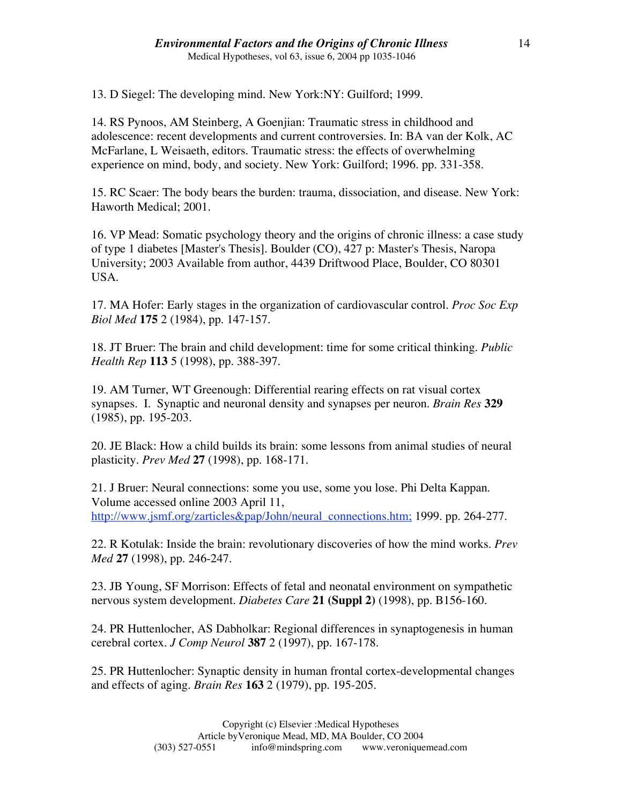13. D Siegel: The developing mind. New York:NY: Guilford; 1999.

14. RS Pynoos, AM Steinberg, A Goenjian: Traumatic stress in childhood and adolescence: recent developments and current controversies. In: BA van der Kolk, AC McFarlane, L Weisaeth, editors. Traumatic stress: the effects of overwhelming experience on mind, body, and society. New York: Guilford; 1996. pp. 331-358.

15. RC Scaer: The body bears the burden: trauma, dissociation, and disease. New York: Haworth Medical; 2001.

16. VP Mead: Somatic psychology theory and the origins of chronic illness: a case study of type 1 diabetes [Master's Thesis]. Boulder (CO), 427 p: Master's Thesis, Naropa University; 2003 Available from author, 4439 Driftwood Place, Boulder, CO 80301 USA.

17. MA Hofer: Early stages in the organization of cardiovascular control. *Proc Soc Exp Biol Med* **175** 2 (1984), pp. 147-157.

18. JT Bruer: The brain and child development: time for some critical thinking. *Public Health Rep* **113** 5 (1998), pp. 388-397.

19. AM Turner, WT Greenough: Differential rearing effects on rat visual cortex synapses. I. Synaptic and neuronal density and synapses per neuron. *Brain Res* **329** (1985), pp. 195-203.

20. JE Black: How a child builds its brain: some lessons from animal studies of neural plasticity. *Prev Med* **27** (1998), pp. 168-171.

21. J Bruer: Neural connections: some you use, some you lose. Phi Delta Kappan. Volume accessed online 2003 April 11, http://www.jsmf.org/zarticles&pap/John/neural\_connections.htm; 1999. pp. 264-277.

22. R Kotulak: Inside the brain: revolutionary discoveries of how the mind works. *Prev Med* **27** (1998), pp. 246-247.

23. JB Young, SF Morrison: Effects of fetal and neonatal environment on sympathetic nervous system development. *Diabetes Care* **21 (Suppl 2)** (1998), pp. B156-160.

24. PR Huttenlocher, AS Dabholkar: Regional differences in synaptogenesis in human cerebral cortex. *J Comp Neurol* **387** 2 (1997), pp. 167-178.

25. PR Huttenlocher: Synaptic density in human frontal cortex-developmental changes and effects of aging. *Brain Res* **163** 2 (1979), pp. 195-205.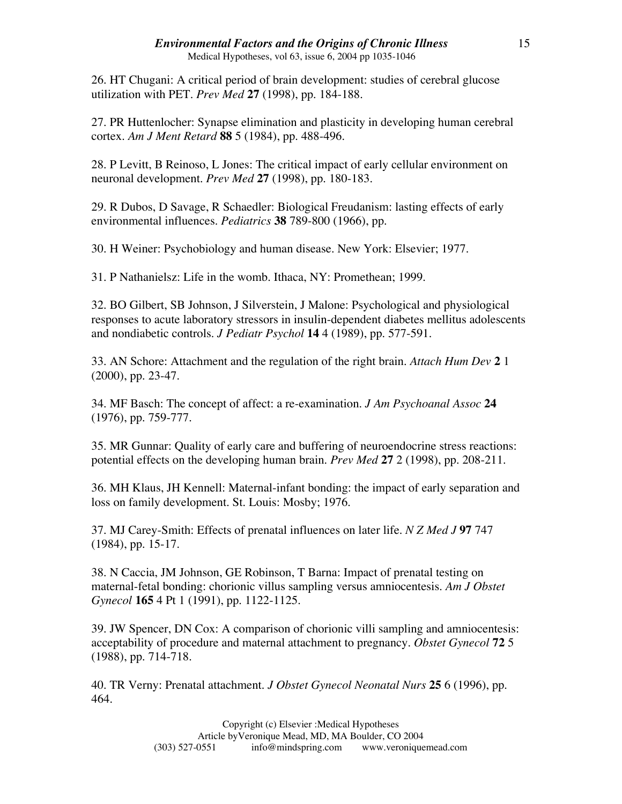26. HT Chugani: A critical period of brain development: studies of cerebral glucose utilization with PET. *Prev Med* **27** (1998), pp. 184-188.

27. PR Huttenlocher: Synapse elimination and plasticity in developing human cerebral cortex. *Am J Ment Retard* **88** 5 (1984), pp. 488-496.

28. P Levitt, B Reinoso, L Jones: The critical impact of early cellular environment on neuronal development. *Prev Med* **27** (1998), pp. 180-183.

29. R Dubos, D Savage, R Schaedler: Biological Freudanism: lasting effects of early environmental influences. *Pediatrics* **38** 789-800 (1966), pp.

30. H Weiner: Psychobiology and human disease. New York: Elsevier; 1977.

31. P Nathanielsz: Life in the womb. Ithaca, NY: Promethean; 1999.

32. BO Gilbert, SB Johnson, J Silverstein, J Malone: Psychological and physiological responses to acute laboratory stressors in insulin-dependent diabetes mellitus adolescents and nondiabetic controls. *J Pediatr Psychol* **14** 4 (1989), pp. 577-591.

33. AN Schore: Attachment and the regulation of the right brain. *Attach Hum Dev* **2** 1 (2000), pp. 23-47.

34. MF Basch: The concept of affect: a re-examination. *J Am Psychoanal Assoc* **24** (1976), pp. 759-777.

35. MR Gunnar: Quality of early care and buffering of neuroendocrine stress reactions: potential effects on the developing human brain. *Prev Med* **27** 2 (1998), pp. 208-211.

36. MH Klaus, JH Kennell: Maternal-infant bonding: the impact of early separation and loss on family development. St. Louis: Mosby; 1976.

37. MJ Carey-Smith: Effects of prenatal influences on later life. *N Z Med J* **97** 747 (1984), pp. 15-17.

38. N Caccia, JM Johnson, GE Robinson, T Barna: Impact of prenatal testing on maternal-fetal bonding: chorionic villus sampling versus amniocentesis. *Am J Obstet Gynecol* **165** 4 Pt 1 (1991), pp. 1122-1125.

39. JW Spencer, DN Cox: A comparison of chorionic villi sampling and amniocentesis: acceptability of procedure and maternal attachment to pregnancy. *Obstet Gynecol* **72** 5 (1988), pp. 714-718.

40. TR Verny: Prenatal attachment. *J Obstet Gynecol Neonatal Nurs* **25** 6 (1996), pp. 464.

> Copyright (c) Elsevier :Medical Hypotheses Article by Veronique Mead, MD, MA Boulder, CO 2004<br>(303) 527-0551 info@mindspring.com www.veronique info@mindspring.com www.veroniquemead.com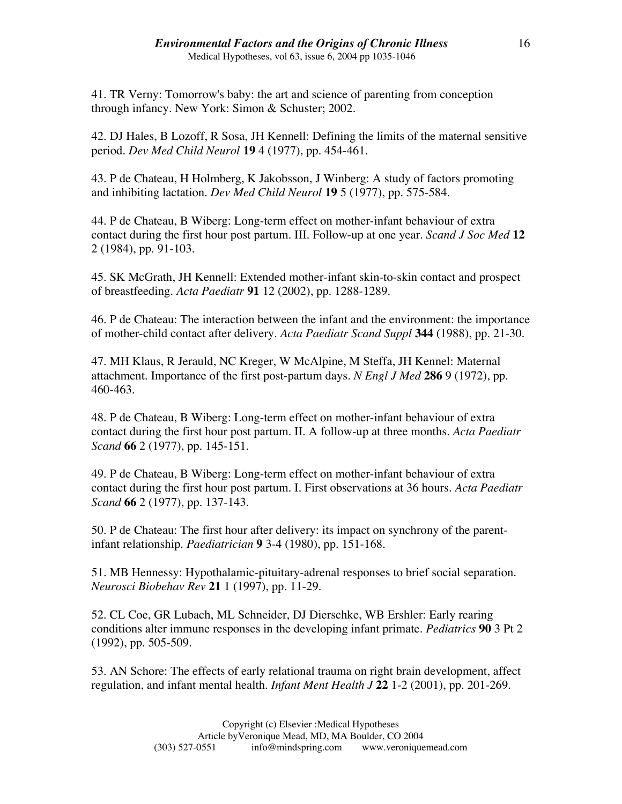41. TR Verny: Tomorrow's baby: the art and science of parenting from conception through infancy. New York: Simon & Schuster; 2002.

42. DJ Hales, B Lozoff, R Sosa, JH Kennell: Defining the limits of the maternal sensitive period. *Dev Med Child Neurol* **19** 4 (1977), pp. 454-461.

43. P de Chateau, H Holmberg, K Jakobsson, J Winberg: A study of factors promoting and inhibiting lactation. *Dev Med Child Neurol* **19** 5 (1977), pp. 575-584.

44. P de Chateau, B Wiberg: Long-term effect on mother-infant behaviour of extra contact during the first hour post partum. III. Follow-up at one year. *Scand J Soc Med* **12** 2 (1984), pp. 91-103.

45. SK McGrath, JH Kennell: Extended mother-infant skin-to-skin contact and prospect of breastfeeding. *Acta Paediatr* **91** 12 (2002), pp. 1288-1289.

46. P de Chateau: The interaction between the infant and the environment: the importance of mother-child contact after delivery. *Acta Paediatr Scand Suppl* **344** (1988), pp. 21-30.

47. MH Klaus, R Jerauld, NC Kreger, W McAlpine, M Steffa, JH Kennel: Maternal attachment. Importance of the first post-partum days. *N Engl J Med* **286** 9 (1972), pp. 460-463.

48. P de Chateau, B Wiberg: Long-term effect on mother-infant behaviour of extra contact during the first hour post partum. II. A follow-up at three months. *Acta Paediatr Scand* **66** 2 (1977), pp. 145-151.

49. P de Chateau, B Wiberg: Long-term effect on mother-infant behaviour of extra contact during the first hour post partum. I. First observations at 36 hours. *Acta Paediatr Scand* **66** 2 (1977), pp. 137-143.

50. P de Chateau: The first hour after delivery: its impact on synchrony of the parentinfant relationship. *Paediatrician* **9** 3-4 (1980), pp. 151-168.

51. MB Hennessy: Hypothalamic-pituitary-adrenal responses to brief social separation. *Neurosci Biobehav Rev* **21** 1 (1997), pp. 11-29.

52. CL Coe, GR Lubach, ML Schneider, DJ Dierschke, WB Ershler: Early rearing conditions alter immune responses in the developing infant primate. *Pediatrics* **90** 3 Pt 2 (1992), pp. 505-509.

53. AN Schore: The effects of early relational trauma on right brain development, affect regulation, and infant mental health. *Infant Ment Health J* **22** 1-2 (2001), pp. 201-269.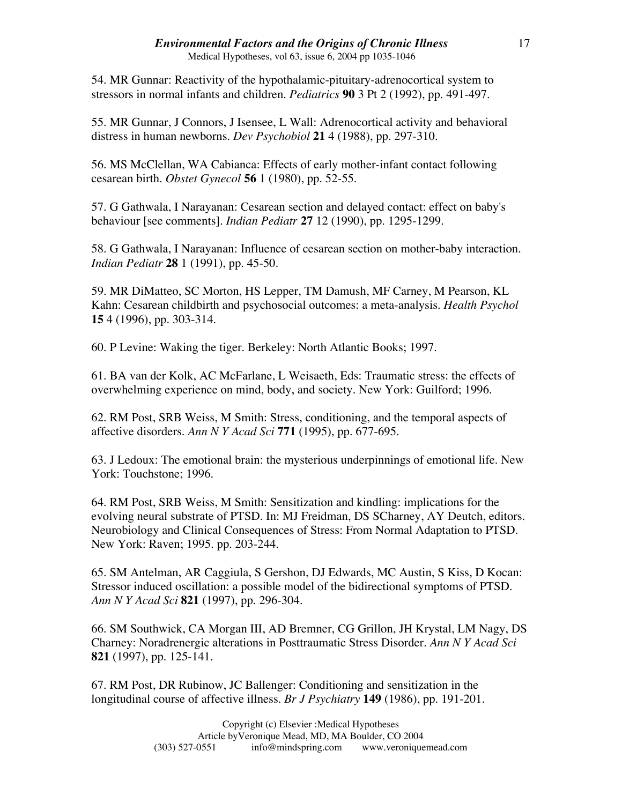54. MR Gunnar: Reactivity of the hypothalamic-pituitary-adrenocortical system to stressors in normal infants and children. *Pediatrics* **90** 3 Pt 2 (1992), pp. 491-497.

55. MR Gunnar, J Connors, J Isensee, L Wall: Adrenocortical activity and behavioral distress in human newborns. *Dev Psychobiol* **21** 4 (1988), pp. 297-310.

56. MS McClellan, WA Cabianca: Effects of early mother-infant contact following cesarean birth. *Obstet Gynecol* **56** 1 (1980), pp. 52-55.

57. G Gathwala, I Narayanan: Cesarean section and delayed contact: effect on baby's behaviour [see comments]. *Indian Pediatr* **27** 12 (1990), pp. 1295-1299.

58. G Gathwala, I Narayanan: Influence of cesarean section on mother-baby interaction. *Indian Pediatr* **28** 1 (1991), pp. 45-50.

59. MR DiMatteo, SC Morton, HS Lepper, TM Damush, MF Carney, M Pearson, KL Kahn: Cesarean childbirth and psychosocial outcomes: a meta-analysis. *Health Psychol* **15** 4 (1996), pp. 303-314.

60. P Levine: Waking the tiger. Berkeley: North Atlantic Books; 1997.

61. BA van der Kolk, AC McFarlane, L Weisaeth, Eds: Traumatic stress: the effects of overwhelming experience on mind, body, and society. New York: Guilford; 1996.

62. RM Post, SRB Weiss, M Smith: Stress, conditioning, and the temporal aspects of affective disorders. *Ann N Y Acad Sci* **771** (1995), pp. 677-695.

63. J Ledoux: The emotional brain: the mysterious underpinnings of emotional life. New York: Touchstone; 1996.

64. RM Post, SRB Weiss, M Smith: Sensitization and kindling: implications for the evolving neural substrate of PTSD. In: MJ Freidman, DS SCharney, AY Deutch, editors. Neurobiology and Clinical Consequences of Stress: From Normal Adaptation to PTSD. New York: Raven; 1995. pp. 203-244.

65. SM Antelman, AR Caggiula, S Gershon, DJ Edwards, MC Austin, S Kiss, D Kocan: Stressor induced oscillation: a possible model of the bidirectional symptoms of PTSD. *Ann N Y Acad Sci* **821** (1997), pp. 296-304.

66. SM Southwick, CA Morgan III, AD Bremner, CG Grillon, JH Krystal, LM Nagy, DS Charney: Noradrenergic alterations in Posttraumatic Stress Disorder. *Ann N Y Acad Sci* **821** (1997), pp. 125-141.

67. RM Post, DR Rubinow, JC Ballenger: Conditioning and sensitization in the longitudinal course of affective illness. *Br J Psychiatry* **149** (1986), pp. 191-201.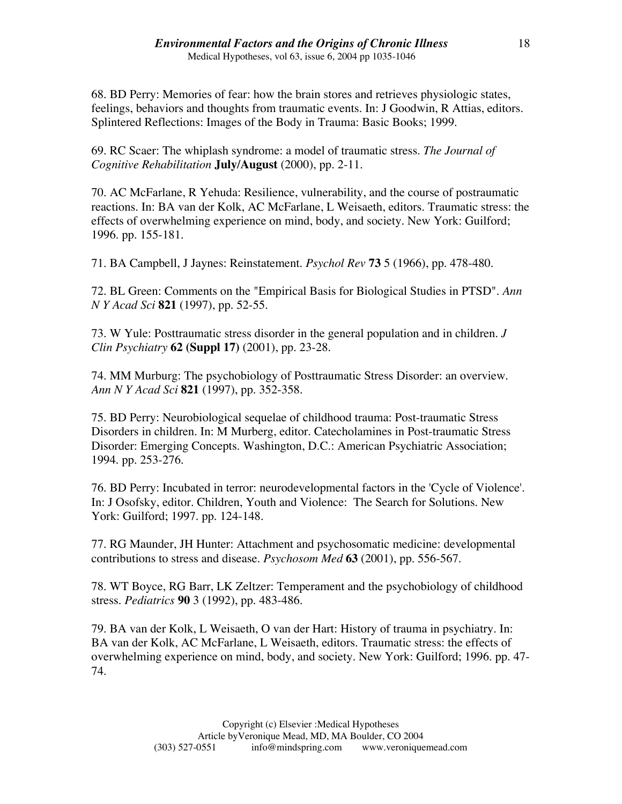68. BD Perry: Memories of fear: how the brain stores and retrieves physiologic states, feelings, behaviors and thoughts from traumatic events. In: J Goodwin, R Attias, editors. Splintered Reflections: Images of the Body in Trauma: Basic Books; 1999.

69. RC Scaer: The whiplash syndrome: a model of traumatic stress. *The Journal of Cognitive Rehabilitation* **July/August** (2000), pp. 2-11.

70. AC McFarlane, R Yehuda: Resilience, vulnerability, and the course of postraumatic reactions. In: BA van der Kolk, AC McFarlane, L Weisaeth, editors. Traumatic stress: the effects of overwhelming experience on mind, body, and society. New York: Guilford; 1996. pp. 155-181.

71. BA Campbell, J Jaynes: Reinstatement. *Psychol Rev* **73** 5 (1966), pp. 478-480.

72. BL Green: Comments on the "Empirical Basis for Biological Studies in PTSD". *Ann N Y Acad Sci* **821** (1997), pp. 52-55.

73. W Yule: Posttraumatic stress disorder in the general population and in children. *J Clin Psychiatry* **62 (Suppl 17)** (2001), pp. 23-28.

74. MM Murburg: The psychobiology of Posttraumatic Stress Disorder: an overview. *Ann N Y Acad Sci* **821** (1997), pp. 352-358.

75. BD Perry: Neurobiological sequelae of childhood trauma: Post-traumatic Stress Disorders in children. In: M Murberg, editor. Catecholamines in Post-traumatic Stress Disorder: Emerging Concepts. Washington, D.C.: American Psychiatric Association; 1994. pp. 253-276.

76. BD Perry: Incubated in terror: neurodevelopmental factors in the 'Cycle of Violence'. In: J Osofsky, editor. Children, Youth and Violence: The Search for Solutions. New York: Guilford; 1997. pp. 124-148.

77. RG Maunder, JH Hunter: Attachment and psychosomatic medicine: developmental contributions to stress and disease. *Psychosom Med* **63** (2001), pp. 556-567.

78. WT Boyce, RG Barr, LK Zeltzer: Temperament and the psychobiology of childhood stress. *Pediatrics* **90** 3 (1992), pp. 483-486.

79. BA van der Kolk, L Weisaeth, O van der Hart: History of trauma in psychiatry. In: BA van der Kolk, AC McFarlane, L Weisaeth, editors. Traumatic stress: the effects of overwhelming experience on mind, body, and society. New York: Guilford; 1996. pp. 47- 74.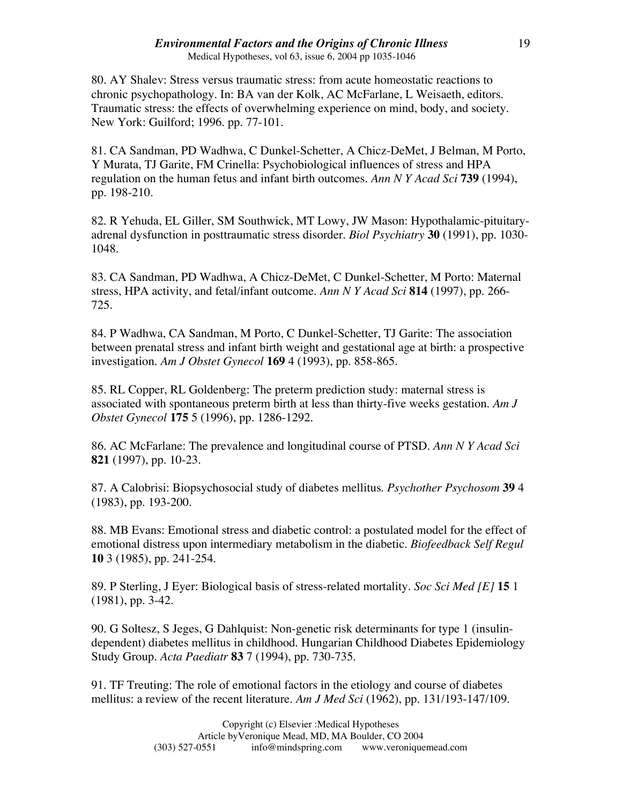80. AY Shalev: Stress versus traumatic stress: from acute homeostatic reactions to chronic psychopathology. In: BA van der Kolk, AC McFarlane, L Weisaeth, editors. Traumatic stress: the effects of overwhelming experience on mind, body, and society. New York: Guilford; 1996. pp. 77-101.

81. CA Sandman, PD Wadhwa, C Dunkel-Schetter, A Chicz-DeMet, J Belman, M Porto, Y Murata, TJ Garite, FM Crinella: Psychobiological influences of stress and HPA regulation on the human fetus and infant birth outcomes. *Ann N Y Acad Sci* **739** (1994), pp. 198-210.

82. R Yehuda, EL Giller, SM Southwick, MT Lowy, JW Mason: Hypothalamic-pituitaryadrenal dysfunction in posttraumatic stress disorder. *Biol Psychiatry* **30** (1991), pp. 1030- 1048.

83. CA Sandman, PD Wadhwa, A Chicz-DeMet, C Dunkel-Schetter, M Porto: Maternal stress, HPA activity, and fetal/infant outcome. *Ann N Y Acad Sci* **814** (1997), pp. 266- 725.

84. P Wadhwa, CA Sandman, M Porto, C Dunkel-Schetter, TJ Garite: The association between prenatal stress and infant birth weight and gestational age at birth: a prospective investigation. *Am J Obstet Gynecol* **169** 4 (1993), pp. 858-865.

85. RL Copper, RL Goldenberg: The preterm prediction study: maternal stress is associated with spontaneous preterm birth at less than thirty-five weeks gestation. *Am J Obstet Gynecol* **175** 5 (1996), pp. 1286-1292.

86. AC McFarlane: The prevalence and longitudinal course of PTSD. *Ann N Y Acad Sci* **821** (1997), pp. 10-23.

87. A Calobrisi: Biopsychosocial study of diabetes mellitus. *Psychother Psychosom* **39** 4 (1983), pp. 193-200.

88. MB Evans: Emotional stress and diabetic control: a postulated model for the effect of emotional distress upon intermediary metabolism in the diabetic. *Biofeedback Self Regul* **10** 3 (1985), pp. 241-254.

89. P Sterling, J Eyer: Biological basis of stress-related mortality. *Soc Sci Med [E]* **15** 1 (1981), pp. 3-42.

90. G Soltesz, S Jeges, G Dahlquist: Non-genetic risk determinants for type 1 (insulindependent) diabetes mellitus in childhood. Hungarian Childhood Diabetes Epidemiology Study Group. *Acta Paediatr* **83** 7 (1994), pp. 730-735.

91. TF Treuting: The role of emotional factors in the etiology and course of diabetes mellitus: a review of the recent literature. *Am J Med Sci* (1962), pp. 131/193-147/109.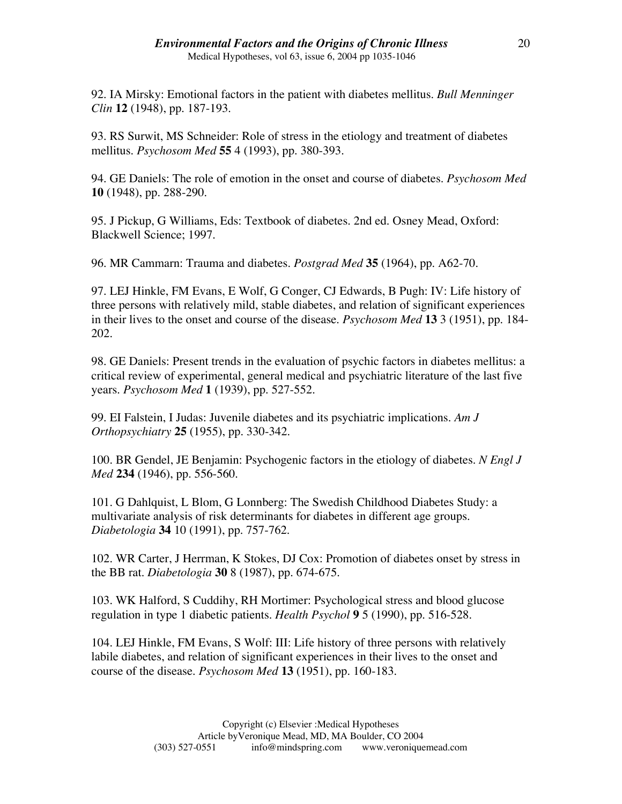92. IA Mirsky: Emotional factors in the patient with diabetes mellitus. *Bull Menninger Clin* **12** (1948), pp. 187-193.

93. RS Surwit, MS Schneider: Role of stress in the etiology and treatment of diabetes mellitus. *Psychosom Med* **55** 4 (1993), pp. 380-393.

94. GE Daniels: The role of emotion in the onset and course of diabetes. *Psychosom Med* **10** (1948), pp. 288-290.

95. J Pickup, G Williams, Eds: Textbook of diabetes. 2nd ed. Osney Mead, Oxford: Blackwell Science; 1997.

96. MR Cammarn: Trauma and diabetes. *Postgrad Med* **35** (1964), pp. A62-70.

97. LEJ Hinkle, FM Evans, E Wolf, G Conger, CJ Edwards, B Pugh: IV: Life history of three persons with relatively mild, stable diabetes, and relation of significant experiences in their lives to the onset and course of the disease. *Psychosom Med* **13** 3 (1951), pp. 184- 202.

98. GE Daniels: Present trends in the evaluation of psychic factors in diabetes mellitus: a critical review of experimental, general medical and psychiatric literature of the last five years. *Psychosom Med* **1** (1939), pp. 527-552.

99. EI Falstein, I Judas: Juvenile diabetes and its psychiatric implications. *Am J Orthopsychiatry* **25** (1955), pp. 330-342.

100. BR Gendel, JE Benjamin: Psychogenic factors in the etiology of diabetes. *N Engl J Med* **234** (1946), pp. 556-560.

101. G Dahlquist, L Blom, G Lonnberg: The Swedish Childhood Diabetes Study: a multivariate analysis of risk determinants for diabetes in different age groups. *Diabetologia* **34** 10 (1991), pp. 757-762.

102. WR Carter, J Herrman, K Stokes, DJ Cox: Promotion of diabetes onset by stress in the BB rat. *Diabetologia* **30** 8 (1987), pp. 674-675.

103. WK Halford, S Cuddihy, RH Mortimer: Psychological stress and blood glucose regulation in type 1 diabetic patients. *Health Psychol* **9** 5 (1990), pp. 516-528.

104. LEJ Hinkle, FM Evans, S Wolf: III: Life history of three persons with relatively labile diabetes, and relation of significant experiences in their lives to the onset and course of the disease. *Psychosom Med* **13** (1951), pp. 160-183.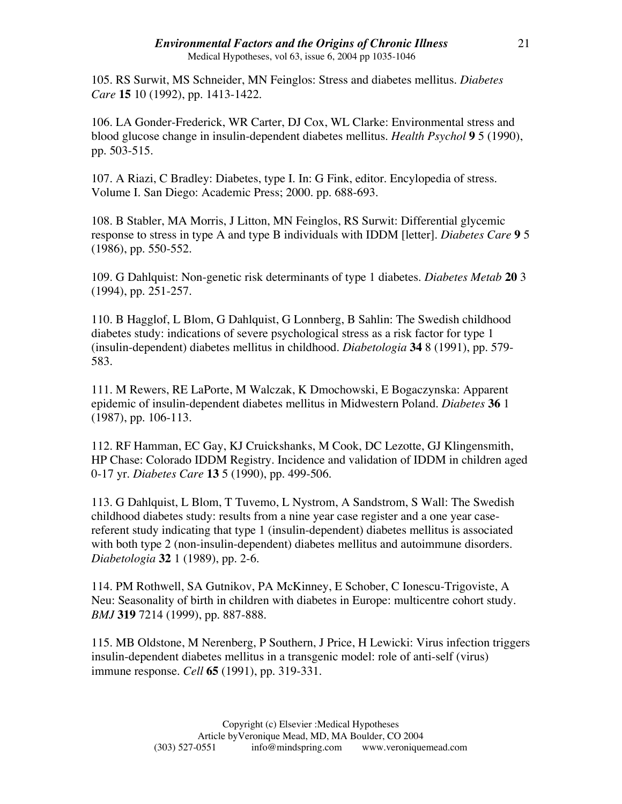#### *Environmental Factors and the Origins of Chronic Illness* Medical Hypotheses, vol 63, issue 6, 2004 pp 1035-1046

105. RS Surwit, MS Schneider, MN Feinglos: Stress and diabetes mellitus. *Diabetes Care* **15** 10 (1992), pp. 1413-1422.

106. LA Gonder-Frederick, WR Carter, DJ Cox, WL Clarke: Environmental stress and blood glucose change in insulin-dependent diabetes mellitus. *Health Psychol* **9** 5 (1990), pp. 503-515.

107. A Riazi, C Bradley: Diabetes, type I. In: G Fink, editor. Encylopedia of stress. Volume I. San Diego: Academic Press; 2000. pp. 688-693.

108. B Stabler, MA Morris, J Litton, MN Feinglos, RS Surwit: Differential glycemic response to stress in type A and type B individuals with IDDM [letter]. *Diabetes Care* **9** 5 (1986), pp. 550-552.

109. G Dahlquist: Non-genetic risk determinants of type 1 diabetes. *Diabetes Metab* **20** 3 (1994), pp. 251-257.

110. B Hagglof, L Blom, G Dahlquist, G Lonnberg, B Sahlin: The Swedish childhood diabetes study: indications of severe psychological stress as a risk factor for type 1 (insulin-dependent) diabetes mellitus in childhood. *Diabetologia* **34** 8 (1991), pp. 579- 583.

111. M Rewers, RE LaPorte, M Walczak, K Dmochowski, E Bogaczynska: Apparent epidemic of insulin-dependent diabetes mellitus in Midwestern Poland. *Diabetes* **36** 1 (1987), pp. 106-113.

112. RF Hamman, EC Gay, KJ Cruickshanks, M Cook, DC Lezotte, GJ Klingensmith, HP Chase: Colorado IDDM Registry. Incidence and validation of IDDM in children aged 0-17 yr. *Diabetes Care* **13** 5 (1990), pp. 499-506.

113. G Dahlquist, L Blom, T Tuvemo, L Nystrom, A Sandstrom, S Wall: The Swedish childhood diabetes study: results from a nine year case register and a one year casereferent study indicating that type 1 (insulin-dependent) diabetes mellitus is associated with both type 2 (non-insulin-dependent) diabetes mellitus and autoimmune disorders. *Diabetologia* **32** 1 (1989), pp. 2-6.

114. PM Rothwell, SA Gutnikov, PA McKinney, E Schober, C Ionescu-Trigoviste, A Neu: Seasonality of birth in children with diabetes in Europe: multicentre cohort study. *BMJ* **319** 7214 (1999), pp. 887-888.

115. MB Oldstone, M Nerenberg, P Southern, J Price, H Lewicki: Virus infection triggers insulin-dependent diabetes mellitus in a transgenic model: role of anti-self (virus) immune response. *Cell* **65** (1991), pp. 319-331.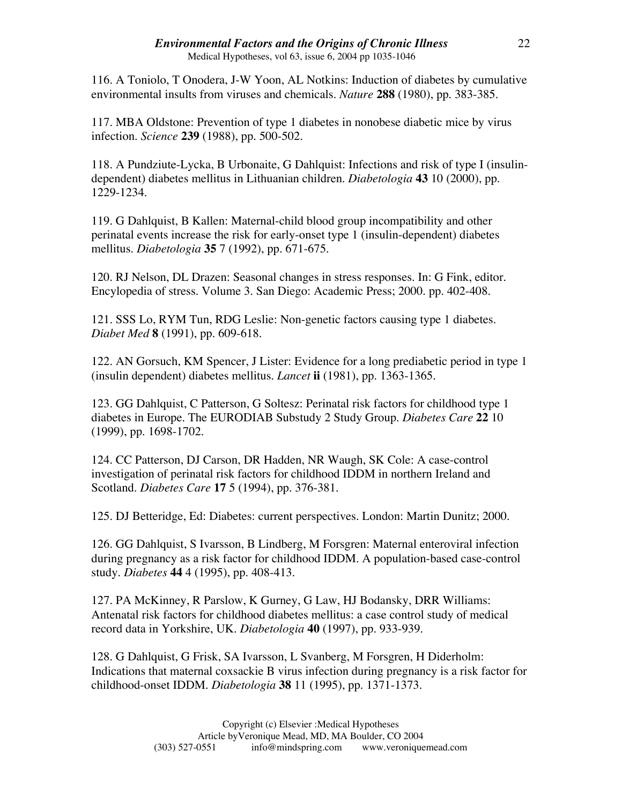# *Environmental Factors and the Origins of Chronic Illness*

Medical Hypotheses, vol 63, issue 6, 2004 pp 1035-1046

116. A Toniolo, T Onodera, J-W Yoon, AL Notkins: Induction of diabetes by cumulative environmental insults from viruses and chemicals. *Nature* **288** (1980), pp. 383-385.

117. MBA Oldstone: Prevention of type 1 diabetes in nonobese diabetic mice by virus infection. *Science* **239** (1988), pp. 500-502.

118. A Pundziute-Lycka, B Urbonaite, G Dahlquist: Infections and risk of type I (insulindependent) diabetes mellitus in Lithuanian children. *Diabetologia* **43** 10 (2000), pp. 1229-1234.

119. G Dahlquist, B Kallen: Maternal-child blood group incompatibility and other perinatal events increase the risk for early-onset type 1 (insulin-dependent) diabetes mellitus. *Diabetologia* **35** 7 (1992), pp. 671-675.

120. RJ Nelson, DL Drazen: Seasonal changes in stress responses. In: G Fink, editor. Encylopedia of stress. Volume 3. San Diego: Academic Press; 2000. pp. 402-408.

121. SSS Lo, RYM Tun, RDG Leslie: Non-genetic factors causing type 1 diabetes. *Diabet Med* **8** (1991), pp. 609-618.

122. AN Gorsuch, KM Spencer, J Lister: Evidence for a long prediabetic period in type 1 (insulin dependent) diabetes mellitus. *Lancet* **ii** (1981), pp. 1363-1365.

123. GG Dahlquist, C Patterson, G Soltesz: Perinatal risk factors for childhood type 1 diabetes in Europe. The EURODIAB Substudy 2 Study Group. *Diabetes Care* **22** 10 (1999), pp. 1698-1702.

124. CC Patterson, DJ Carson, DR Hadden, NR Waugh, SK Cole: A case-control investigation of perinatal risk factors for childhood IDDM in northern Ireland and Scotland. *Diabetes Care* **17** 5 (1994), pp. 376-381.

125. DJ Betteridge, Ed: Diabetes: current perspectives. London: Martin Dunitz; 2000.

126. GG Dahlquist, S Ivarsson, B Lindberg, M Forsgren: Maternal enteroviral infection during pregnancy as a risk factor for childhood IDDM. A population-based case-control study. *Diabetes* **44** 4 (1995), pp. 408-413.

127. PA McKinney, R Parslow, K Gurney, G Law, HJ Bodansky, DRR Williams: Antenatal risk factors for childhood diabetes mellitus: a case control study of medical record data in Yorkshire, UK. *Diabetologia* **40** (1997), pp. 933-939.

128. G Dahlquist, G Frisk, SA Ivarsson, L Svanberg, M Forsgren, H Diderholm: Indications that maternal coxsackie B virus infection during pregnancy is a risk factor for childhood-onset IDDM. *Diabetologia* **38** 11 (1995), pp. 1371-1373.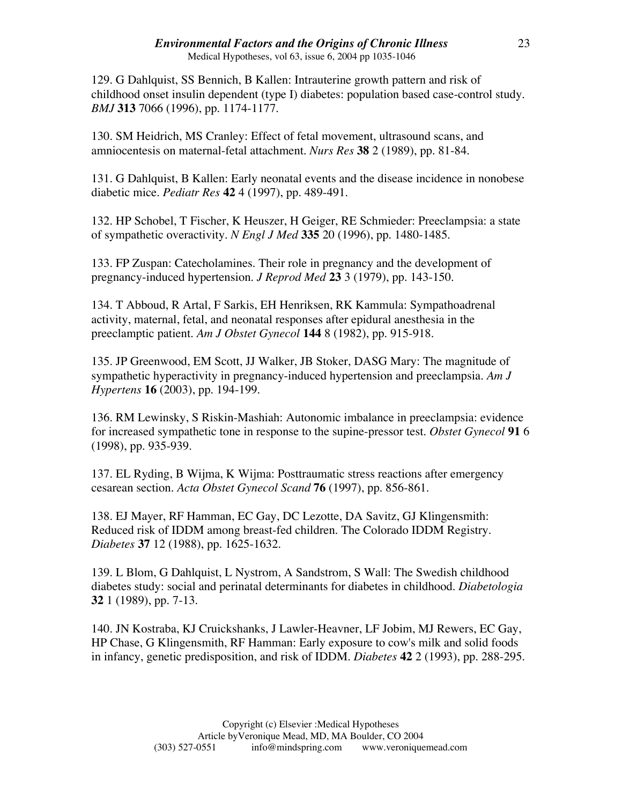129. G Dahlquist, SS Bennich, B Kallen: Intrauterine growth pattern and risk of childhood onset insulin dependent (type I) diabetes: population based case-control study. *BMJ* **313** 7066 (1996), pp. 1174-1177.

130. SM Heidrich, MS Cranley: Effect of fetal movement, ultrasound scans, and amniocentesis on maternal-fetal attachment. *Nurs Res* **38** 2 (1989), pp. 81-84.

131. G Dahlquist, B Kallen: Early neonatal events and the disease incidence in nonobese diabetic mice. *Pediatr Res* **42** 4 (1997), pp. 489-491.

132. HP Schobel, T Fischer, K Heuszer, H Geiger, RE Schmieder: Preeclampsia: a state of sympathetic overactivity. *N Engl J Med* **335** 20 (1996), pp. 1480-1485.

133. FP Zuspan: Catecholamines. Their role in pregnancy and the development of pregnancy-induced hypertension. *J Reprod Med* **23** 3 (1979), pp. 143-150.

134. T Abboud, R Artal, F Sarkis, EH Henriksen, RK Kammula: Sympathoadrenal activity, maternal, fetal, and neonatal responses after epidural anesthesia in the preeclamptic patient. *Am J Obstet Gynecol* **144** 8 (1982), pp. 915-918.

135. JP Greenwood, EM Scott, JJ Walker, JB Stoker, DASG Mary: The magnitude of sympathetic hyperactivity in pregnancy-induced hypertension and preeclampsia. *Am J Hypertens* **16** (2003), pp. 194-199.

136. RM Lewinsky, S Riskin-Mashiah: Autonomic imbalance in preeclampsia: evidence for increased sympathetic tone in response to the supine-pressor test. *Obstet Gynecol* **91** 6 (1998), pp. 935-939.

137. EL Ryding, B Wijma, K Wijma: Posttraumatic stress reactions after emergency cesarean section. *Acta Obstet Gynecol Scand* **76** (1997), pp. 856-861.

138. EJ Mayer, RF Hamman, EC Gay, DC Lezotte, DA Savitz, GJ Klingensmith: Reduced risk of IDDM among breast-fed children. The Colorado IDDM Registry. *Diabetes* **37** 12 (1988), pp. 1625-1632.

139. L Blom, G Dahlquist, L Nystrom, A Sandstrom, S Wall: The Swedish childhood diabetes study: social and perinatal determinants for diabetes in childhood. *Diabetologia* **32** 1 (1989), pp. 7-13.

140. JN Kostraba, KJ Cruickshanks, J Lawler-Heavner, LF Jobim, MJ Rewers, EC Gay, HP Chase, G Klingensmith, RF Hamman: Early exposure to cow's milk and solid foods in infancy, genetic predisposition, and risk of IDDM. *Diabetes* **42** 2 (1993), pp. 288-295.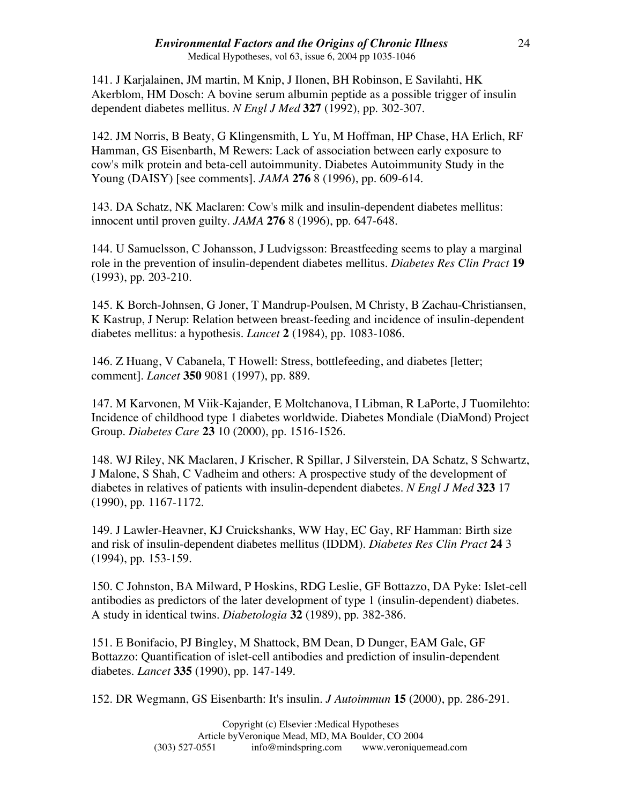141. J Karjalainen, JM martin, M Knip, J Ilonen, BH Robinson, E Savilahti, HK Akerblom, HM Dosch: A bovine serum albumin peptide as a possible trigger of insulin dependent diabetes mellitus. *N Engl J Med* **327** (1992), pp. 302-307.

142. JM Norris, B Beaty, G Klingensmith, L Yu, M Hoffman, HP Chase, HA Erlich, RF Hamman, GS Eisenbarth, M Rewers: Lack of association between early exposure to cow's milk protein and beta-cell autoimmunity. Diabetes Autoimmunity Study in the Young (DAISY) [see comments]. *JAMA* **276** 8 (1996), pp. 609-614.

143. DA Schatz, NK Maclaren: Cow's milk and insulin-dependent diabetes mellitus: innocent until proven guilty. *JAMA* **276** 8 (1996), pp. 647-648.

144. U Samuelsson, C Johansson, J Ludvigsson: Breastfeeding seems to play a marginal role in the prevention of insulin-dependent diabetes mellitus. *Diabetes Res Clin Pract* **19** (1993), pp. 203-210.

145. K Borch-Johnsen, G Joner, T Mandrup-Poulsen, M Christy, B Zachau-Christiansen, K Kastrup, J Nerup: Relation between breast-feeding and incidence of insulin-dependent diabetes mellitus: a hypothesis. *Lancet* **2** (1984), pp. 1083-1086.

146. Z Huang, V Cabanela, T Howell: Stress, bottlefeeding, and diabetes [letter; comment]. *Lancet* **350** 9081 (1997), pp. 889.

147. M Karvonen, M Viik-Kajander, E Moltchanova, I Libman, R LaPorte, J Tuomilehto: Incidence of childhood type 1 diabetes worldwide. Diabetes Mondiale (DiaMond) Project Group. *Diabetes Care* **23** 10 (2000), pp. 1516-1526.

148. WJ Riley, NK Maclaren, J Krischer, R Spillar, J Silverstein, DA Schatz, S Schwartz, J Malone, S Shah, C Vadheim and others: A prospective study of the development of diabetes in relatives of patients with insulin-dependent diabetes. *N Engl J Med* **323** 17 (1990), pp. 1167-1172.

149. J Lawler-Heavner, KJ Cruickshanks, WW Hay, EC Gay, RF Hamman: Birth size and risk of insulin-dependent diabetes mellitus (IDDM). *Diabetes Res Clin Pract* **24** 3 (1994), pp. 153-159.

150. C Johnston, BA Milward, P Hoskins, RDG Leslie, GF Bottazzo, DA Pyke: Islet-cell antibodies as predictors of the later development of type 1 (insulin-dependent) diabetes. A study in identical twins. *Diabetologia* **32** (1989), pp. 382-386.

151. E Bonifacio, PJ Bingley, M Shattock, BM Dean, D Dunger, EAM Gale, GF Bottazzo: Quantification of islet-cell antibodies and prediction of insulin-dependent diabetes. *Lancet* **335** (1990), pp. 147-149.

152. DR Wegmann, GS Eisenbarth: It's insulin. *J Autoimmun* **15** (2000), pp. 286-291.